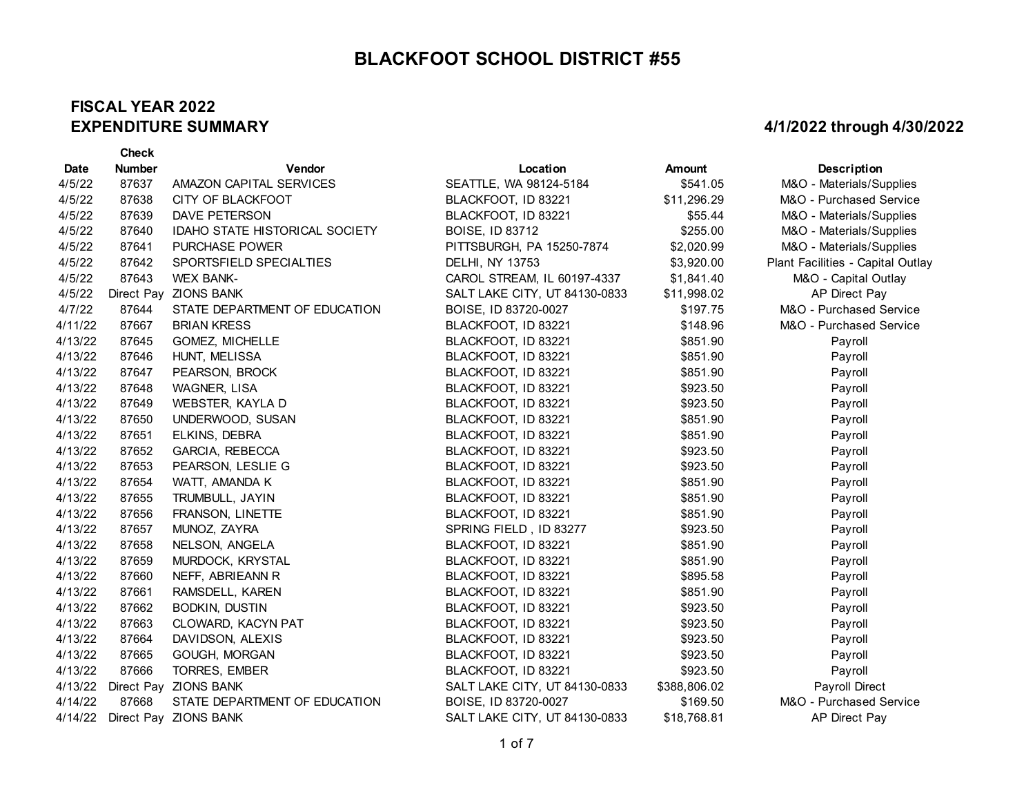#### **FISCAL YEAR 2022 EXPENDITURE SUMMARY**

|             | <b>Check</b>  |                                       |                               |              |                                   |
|-------------|---------------|---------------------------------------|-------------------------------|--------------|-----------------------------------|
| <b>Date</b> | <b>Number</b> | Vendor                                | Location                      | Amount       | Description                       |
| 4/5/22      | 87637         | AMAZON CAPITAL SERVICES               | SEATTLE, WA 98124-5184        | \$541.05     | M&O - Materials/Supplies          |
| 4/5/22      | 87638         | CITY OF BLACKFOOT                     | BLACKFOOT, ID 83221           | \$11,296.29  | M&O - Purchased Service           |
| 4/5/22      | 87639         | <b>DAVE PETERSON</b>                  | BLACKFOOT, ID 83221           | \$55.44      | M&O - Materials/Supplies          |
| 4/5/22      | 87640         | <b>IDAHO STATE HISTORICAL SOCIETY</b> | <b>BOISE, ID 83712</b>        | \$255.00     | M&O - Materials/Supplies          |
| 4/5/22      | 87641         | PURCHASE POWER                        | PITTSBURGH, PA 15250-7874     | \$2,020.99   | M&O - Materials/Supplies          |
| 4/5/22      | 87642         | SPORTSFIELD SPECIALTIES               | <b>DELHI, NY 13753</b>        | \$3,920.00   | Plant Facilities - Capital Outlay |
| 4/5/22      | 87643         | <b>WEX BANK-</b>                      | CAROL STREAM, IL 60197-4337   | \$1,841.40   | M&O - Capital Outlay              |
| 4/5/22      |               | Direct Pay ZIONS BANK                 | SALT LAKE CITY, UT 84130-0833 | \$11,998.02  | AP Direct Pay                     |
| 4/7/22      | 87644         | STATE DEPARTMENT OF EDUCATION         | BOISE, ID 83720-0027          | \$197.75     | M&O - Purchased Service           |
| 4/11/22     | 87667         | <b>BRIAN KRESS</b>                    | BLACKFOOT, ID 83221           | \$148.96     | M&O - Purchased Service           |
| 4/13/22     | 87645         | GOMEZ, MICHELLE                       | BLACKFOOT, ID 83221           | \$851.90     | Payroll                           |
| 4/13/22     | 87646         | HUNT, MELISSA                         | BLACKFOOT, ID 83221           | \$851.90     | Payroll                           |
| 4/13/22     | 87647         | PEARSON, BROCK                        | BLACKFOOT, ID 83221           | \$851.90     | Payroll                           |
| 4/13/22     | 87648         | WAGNER, LISA                          | BLACKFOOT, ID 83221           | \$923.50     | Payroll                           |
| 4/13/22     | 87649         | WEBSTER, KAYLA D                      | BLACKFOOT, ID 83221           | \$923.50     | Payroll                           |
| 4/13/22     | 87650         | UNDERWOOD, SUSAN                      | BLACKFOOT, ID 83221           | \$851.90     | Payroll                           |
| 4/13/22     | 87651         | ELKINS, DEBRA                         | BLACKFOOT, ID 83221           | \$851.90     | Payroll                           |
| 4/13/22     | 87652         | GARCIA, REBECCA                       | BLACKFOOT, ID 83221           | \$923.50     | Payroll                           |
| 4/13/22     | 87653         | PEARSON, LESLIE G                     | BLACKFOOT, ID 83221           | \$923.50     | Payroll                           |
| 4/13/22     | 87654         | WATT, AMANDA K                        | BLACKFOOT, ID 83221           | \$851.90     | Payroll                           |
| 4/13/22     | 87655         | TRUMBULL, JAYIN                       | BLACKFOOT, ID 83221           | \$851.90     | Payroll                           |
| 4/13/22     | 87656         | FRANSON, LINETTE                      | BLACKFOOT, ID 83221           | \$851.90     | Payroll                           |
| 4/13/22     | 87657         | MUNOZ, ZAYRA                          | SPRING FIELD, ID 83277        | \$923.50     | Payroll                           |
| 4/13/22     | 87658         | NELSON, ANGELA                        | BLACKFOOT, ID 83221           | \$851.90     | Payroll                           |
| 4/13/22     | 87659         | MURDOCK, KRYSTAL                      | BLACKFOOT, ID 83221           | \$851.90     | Payroll                           |
| 4/13/22     | 87660         | NEFF, ABRIEANN R                      | BLACKFOOT, ID 83221           | \$895.58     | Payroll                           |
| 4/13/22     | 87661         | RAMSDELL, KAREN                       | BLACKFOOT, ID 83221           | \$851.90     | Payroll                           |
| 4/13/22     | 87662         | <b>BODKIN, DUSTIN</b>                 | BLACKFOOT, ID 83221           | \$923.50     | Payroll                           |
| 4/13/22     | 87663         | CLOWARD, KACYN PAT                    | BLACKFOOT, ID 83221           | \$923.50     | Payroll                           |
| 4/13/22     | 87664         | DAVIDSON, ALEXIS                      | BLACKFOOT, ID 83221           | \$923.50     | Payroll                           |
| 4/13/22     | 87665         | GOUGH, MORGAN                         | BLACKFOOT, ID 83221           | \$923.50     | Payroll                           |
| 4/13/22     | 87666         | TORRES, EMBER                         | BLACKFOOT, ID 83221           | \$923.50     | Payroll                           |
| 4/13/22     |               | Direct Pay ZIONS BANK                 | SALT LAKE CITY, UT 84130-0833 | \$388,806.02 | Payroll Direct                    |
| 4/14/22     | 87668         | STATE DEPARTMENT OF EDUCATION         | BOISE, ID 83720-0027          | \$169.50     | M&O - Purchased Service           |
|             |               | 4/14/22 Direct Pay ZIONS BANK         | SALT LAKE CITY, UT 84130-0833 | \$18,768.81  | AP Direct Pay                     |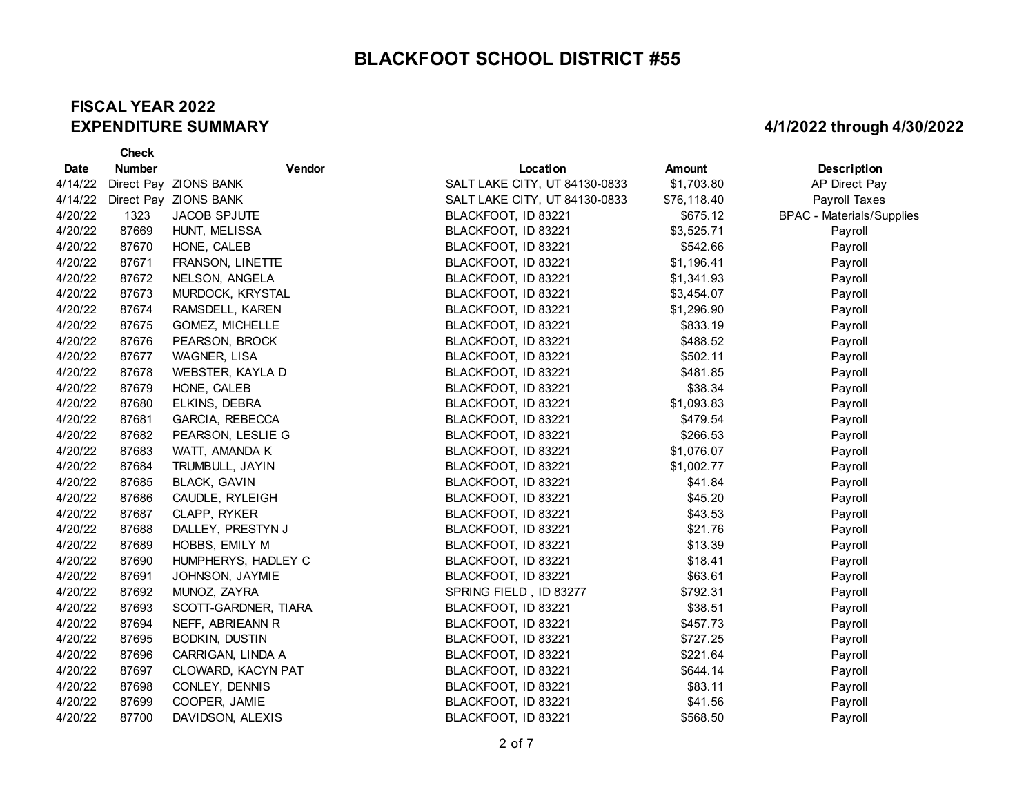#### **FISCAL YEAR 2022 EXPENDITURE SUMMARY**

**Check** 

| <b>Date</b> | <b>Number</b> | Vendor                | Location                      | Amount      | Description                      |
|-------------|---------------|-----------------------|-------------------------------|-------------|----------------------------------|
| 4/14/22     |               | Direct Pay ZIONS BANK | SALT LAKE CITY, UT 84130-0833 | \$1,703.80  | AP Direct Pay                    |
| 4/14/22     |               | Direct Pay ZIONS BANK | SALT LAKE CITY, UT 84130-0833 | \$76,118.40 | Payroll Taxes                    |
| 4/20/22     | 1323          | <b>JACOB SPJUTE</b>   | BLACKFOOT, ID 83221           | \$675.12    | <b>BPAC - Materials/Supplies</b> |
| 4/20/22     | 87669         | HUNT, MELISSA         | BLACKFOOT, ID 83221           | \$3,525.71  | Payroll                          |
| 4/20/22     | 87670         | HONE, CALEB           | BLACKFOOT, ID 83221           | \$542.66    | Payroll                          |
| 4/20/22     | 87671         | FRANSON, LINETTE      | BLACKFOOT, ID 83221           | \$1,196.41  | Payroll                          |
| 4/20/22     | 87672         | NELSON, ANGELA        | BLACKFOOT, ID 83221           | \$1,341.93  | Payroll                          |
| 4/20/22     | 87673         | MURDOCK, KRYSTAL      | BLACKFOOT, ID 83221           | \$3,454.07  | Payroll                          |
| 4/20/22     | 87674         | RAMSDELL, KAREN       | BLACKFOOT, ID 83221           | \$1,296.90  | Payroll                          |
| 4/20/22     | 87675         | GOMEZ, MICHELLE       | BLACKFOOT, ID 83221           | \$833.19    | Payroll                          |
| 4/20/22     | 87676         | PEARSON, BROCK        | BLACKFOOT, ID 83221           | \$488.52    | Payroll                          |
| 4/20/22     | 87677         | WAGNER, LISA          | BLACKFOOT, ID 83221           | \$502.11    | Payroll                          |
| 4/20/22     | 87678         | WEBSTER, KAYLA D      | BLACKFOOT, ID 83221           | \$481.85    | Payroll                          |
| 4/20/22     | 87679         | HONE, CALEB           | BLACKFOOT, ID 83221           | \$38.34     | Payroll                          |
| 4/20/22     | 87680         | ELKINS, DEBRA         | BLACKFOOT, ID 83221           | \$1,093.83  | Payroll                          |
| 4/20/22     | 87681         | GARCIA, REBECCA       | BLACKFOOT, ID 83221           | \$479.54    | Payroll                          |
| 4/20/22     | 87682         | PEARSON, LESLIE G     | BLACKFOOT, ID 83221           | \$266.53    | Payroll                          |
| 4/20/22     | 87683         | WATT, AMANDA K        | BLACKFOOT, ID 83221           | \$1,076.07  | Payroll                          |
| 4/20/22     | 87684         | TRUMBULL, JAYIN       | BLACKFOOT, ID 83221           | \$1,002.77  | Payroll                          |
| 4/20/22     | 87685         | BLACK, GAVIN          | BLACKFOOT, ID 83221           | \$41.84     | Payroll                          |
| 4/20/22     | 87686         | CAUDLE, RYLEIGH       | BLACKFOOT, ID 83221           | \$45.20     | Payroll                          |
| 4/20/22     | 87687         | CLAPP, RYKER          | BLACKFOOT, ID 83221           | \$43.53     | Payroll                          |
| 4/20/22     | 87688         | DALLEY, PRESTYN J     | BLACKFOOT, ID 83221           | \$21.76     | Payroll                          |
| 4/20/22     | 87689         | HOBBS, EMILY M        | BLACKFOOT, ID 83221           | \$13.39     | Payroll                          |
| 4/20/22     | 87690         | HUMPHERYS, HADLEY C   | BLACKFOOT, ID 83221           | \$18.41     | Payroll                          |
| 4/20/22     | 87691         | JOHNSON, JAYMIE       | BLACKFOOT, ID 83221           | \$63.61     | Payroll                          |
| 4/20/22     | 87692         | MUNOZ, ZAYRA          | SPRING FIELD, ID 83277        | \$792.31    | Payroll                          |
| 4/20/22     | 87693         | SCOTT-GARDNER, TIARA  | BLACKFOOT, ID 83221           | \$38.51     | Payroll                          |
| 4/20/22     | 87694         | NEFF, ABRIEANN R      | BLACKFOOT, ID 83221           | \$457.73    | Payroll                          |
| 4/20/22     | 87695         | <b>BODKIN, DUSTIN</b> | BLACKFOOT, ID 83221           | \$727.25    | Payroll                          |
| 4/20/22     | 87696         | CARRIGAN, LINDA A     | BLACKFOOT, ID 83221           | \$221.64    | Payroll                          |
| 4/20/22     | 87697         | CLOWARD, KACYN PAT    | BLACKFOOT, ID 83221           | \$644.14    | Payroll                          |
| 4/20/22     | 87698         | CONLEY, DENNIS        | BLACKFOOT, ID 83221           | \$83.11     | Payroll                          |
| 4/20/22     | 87699         | COOPER, JAMIE         | BLACKFOOT, ID 83221           | \$41.56     | Payroll                          |
| 4/20/22     | 87700         | DAVIDSON, ALEXIS      | BLACKFOOT, ID 83221           | \$568.50    | Payroll                          |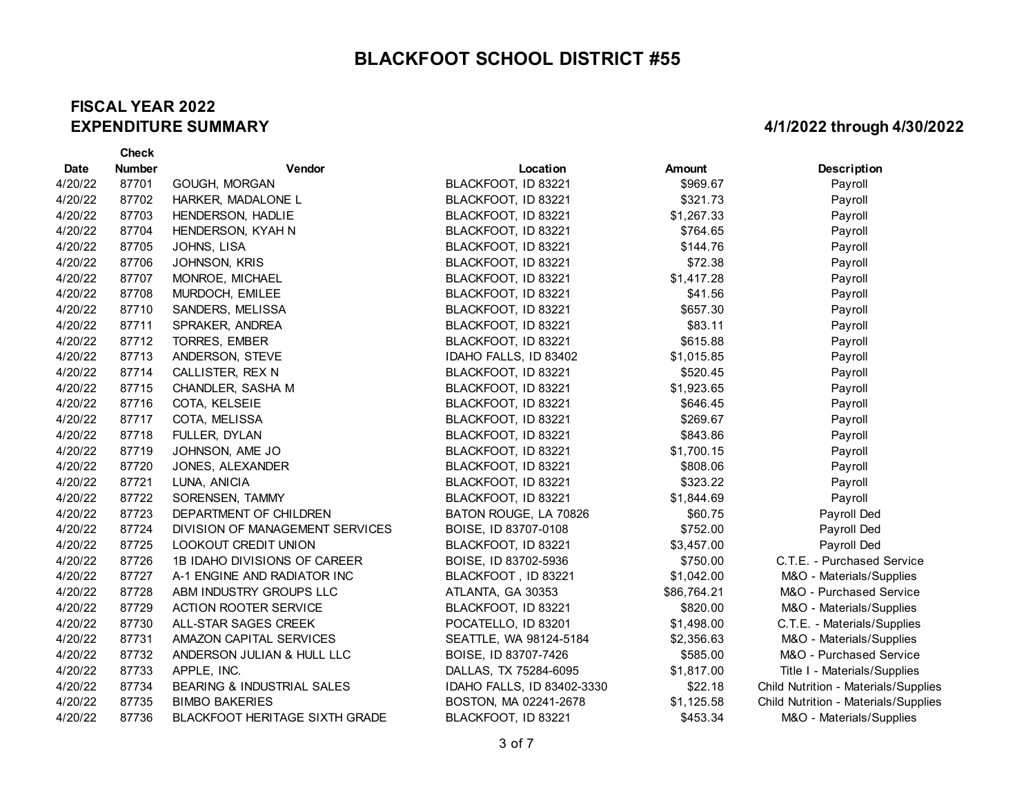#### **FISCAL YEAR 2022 EXPENDITURE SUMMARY**

|             | <b>Check</b>  |                                       |                            |             |                                      |
|-------------|---------------|---------------------------------------|----------------------------|-------------|--------------------------------------|
| <b>Date</b> | <b>Number</b> | Vendor                                | Location                   | Amount      | Description                          |
| 4/20/22     | 87701         | GOUGH, MORGAN                         | BLACKFOOT, ID 83221        | \$969.67    | Payroll                              |
| 4/20/22     | 87702         | HARKER, MADALONE L                    | BLACKFOOT, ID 83221        | \$321.73    | Payroll                              |
| 4/20/22     | 87703         | HENDERSON, HADLIE                     | BLACKFOOT, ID 83221        | \$1,267.33  | Payroll                              |
| 4/20/22     | 87704         | HENDERSON, KYAH N                     | BLACKFOOT, ID 83221        | \$764.65    | Payroll                              |
| 4/20/22     | 87705         | JOHNS, LISA                           | BLACKFOOT, ID 83221        | \$144.76    | Payroll                              |
| 4/20/22     | 87706         | JOHNSON, KRIS                         | BLACKFOOT, ID 83221        | \$72.38     | Payroll                              |
| 4/20/22     | 87707         | MONROE, MICHAEL                       | BLACKFOOT, ID 83221        | \$1,417.28  | Payroll                              |
| 4/20/22     | 87708         | MURDOCH, EMILEE                       | BLACKFOOT, ID 83221        | \$41.56     | Payroll                              |
| 4/20/22     | 87710         | SANDERS, MELISSA                      | BLACKFOOT, ID 83221        | \$657.30    | Payroll                              |
| 4/20/22     | 87711         | SPRAKER, ANDREA                       | BLACKFOOT, ID 83221        | \$83.11     | Payroll                              |
| 4/20/22     | 87712         | TORRES, EMBER                         | BLACKFOOT, ID 83221        | \$615.88    | Payroll                              |
| 4/20/22     | 87713         | ANDERSON, STEVE                       | IDAHO FALLS, ID 83402      | \$1,015.85  | Payroll                              |
| 4/20/22     | 87714         | CALLISTER, REX N                      | BLACKFOOT, ID 83221        | \$520.45    | Payroll                              |
| 4/20/22     | 87715         | CHANDLER, SASHA M                     | BLACKFOOT, ID 83221        | \$1,923.65  | Payroll                              |
| 4/20/22     | 87716         | COTA, KELSEIE                         | BLACKFOOT, ID 83221        | \$646.45    | Payroll                              |
| 4/20/22     | 87717         | COTA, MELISSA                         | BLACKFOOT, ID 83221        | \$269.67    | Payroll                              |
| 4/20/22     | 87718         | FULLER, DYLAN                         | BLACKFOOT, ID 83221        | \$843.86    | Payroll                              |
| 4/20/22     | 87719         | JOHNSON, AME JO                       | BLACKFOOT, ID 83221        | \$1,700.15  | Payroll                              |
| 4/20/22     | 87720         | JONES, ALEXANDER                      | BLACKFOOT, ID 83221        | \$808.06    | Payroll                              |
| 4/20/22     | 87721         | LUNA, ANICIA                          | BLACKFOOT, ID 83221        | \$323.22    | Payroll                              |
| 4/20/22     | 87722         | SORENSEN, TAMMY                       | BLACKFOOT, ID 83221        | \$1,844.69  | Payroll                              |
| 4/20/22     | 87723         | DEPARTMENT OF CHILDREN                | BATON ROUGE, LA 70826      | \$60.75     | Payroll Ded                          |
| 4/20/22     | 87724         | DIVISION OF MANAGEMENT SERVICES       | BOISE, ID 83707-0108       | \$752.00    | Payroll Ded                          |
| 4/20/22     | 87725         | LOOKOUT CREDIT UNION                  | BLACKFOOT, ID 83221        | \$3,457.00  | Payroll Ded                          |
| 4/20/22     | 87726         | 1B IDAHO DIVISIONS OF CAREER          | BOISE, ID 83702-5936       | \$750.00    | C.T.E. - Purchased Service           |
| 4/20/22     | 87727         | A-1 ENGINE AND RADIATOR INC           | BLACKFOOT, ID 83221        | \$1,042.00  | M&O - Materials/Supplies             |
| 4/20/22     | 87728         | ABM INDUSTRY GROUPS LLC               | ATLANTA, GA 30353          | \$86,764.21 | M&O - Purchased Service              |
| 4/20/22     | 87729         | ACTION ROOTER SERVICE                 | BLACKFOOT, ID 83221        | \$820.00    | M&O - Materials/Supplies             |
| 4/20/22     | 87730         | ALL-STAR SAGES CREEK                  | POCATELLO, ID 83201        | \$1,498.00  | C.T.E. - Materials/Supplies          |
| 4/20/22     | 87731         | AMAZON CAPITAL SERVICES               | SEATTLE, WA 98124-5184     | \$2,356.63  | M&O - Materials/Supplies             |
| 4/20/22     | 87732         | ANDERSON JULIAN & HULL LLC            | BOISE, ID 83707-7426       | \$585.00    | M&O - Purchased Service              |
| 4/20/22     | 87733         | APPLE, INC.                           | DALLAS, TX 75284-6095      | \$1,817.00  | Title I - Materials/Supplies         |
| 4/20/22     | 87734         | BEARING & INDUSTRIAL SALES            | IDAHO FALLS, ID 83402-3330 | \$22.18     | Child Nutrition - Materials/Supplies |
| 4/20/22     | 87735         | <b>BIMBO BAKERIES</b>                 | BOSTON, MA 02241-2678      | \$1,125.58  | Child Nutrition - Materials/Supplies |
| 4/20/22     | 87736         | <b>BLACKFOOT HERITAGE SIXTH GRADE</b> | BLACKFOOT, ID 83221        | \$453.34    | M&O - Materials/Supplies             |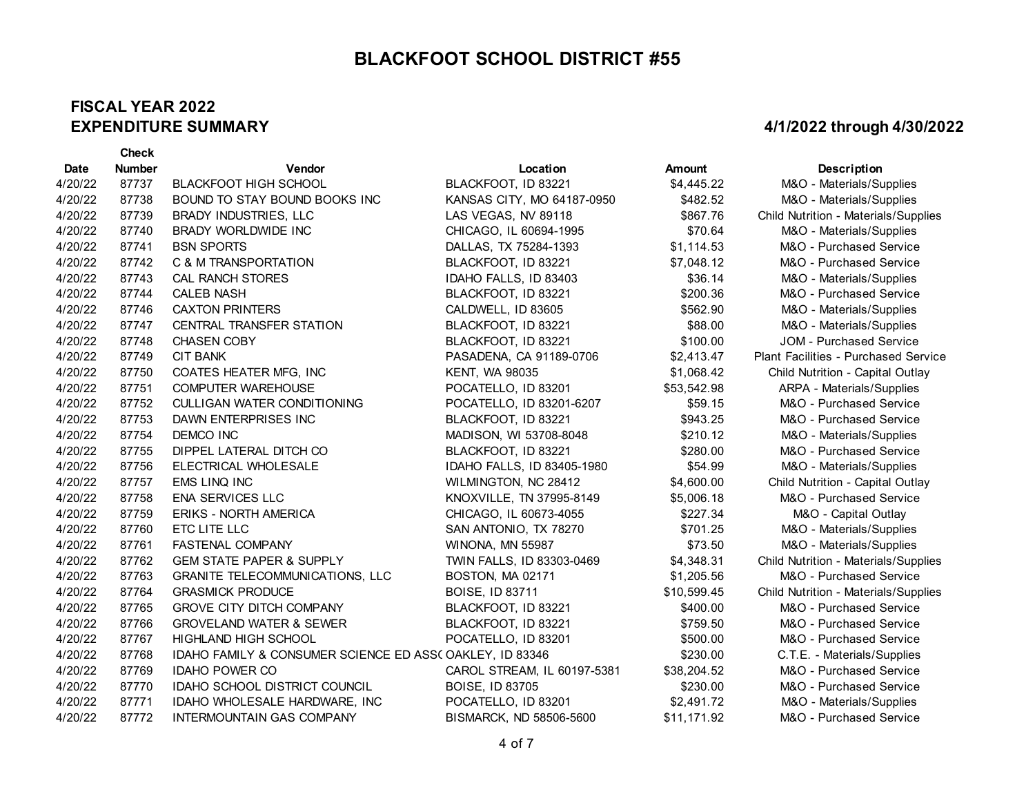#### **FISCAL YEAR 2022 EXPENDITURE SUMMARY**

**Check** 

| <b>Date</b> | <b>Number</b> | <b>Vendor</b>                                           | Location                    | <b>Amount</b> | <b>Description</b>                   |
|-------------|---------------|---------------------------------------------------------|-----------------------------|---------------|--------------------------------------|
| 4/20/22     | 87737         | <b>BLACKFOOT HIGH SCHOOL</b>                            | BLACKFOOT, ID 83221         | \$4,445.22    | M&O - Materials/Supplies             |
| 4/20/22     | 87738         | BOUND TO STAY BOUND BOOKS INC                           | KANSAS CITY, MO 64187-0950  | \$482.52      | M&O - Materials/Supplies             |
| 4/20/22     | 87739         | BRADY INDUSTRIES, LLC                                   | LAS VEGAS, NV 89118         | \$867.76      | Child Nutrition - Materials/Supplies |
| 4/20/22     | 87740         | BRADY WORLDWIDE INC                                     | CHICAGO, IL 60694-1995      | \$70.64       | M&O - Materials/Supplies             |
| 4/20/22     | 87741         | <b>BSN SPORTS</b>                                       | DALLAS, TX 75284-1393       | \$1,114.53    | M&O - Purchased Service              |
| 4/20/22     | 87742         | C & M TRANSPORTATION                                    | BLACKFOOT, ID 83221         | \$7,048.12    | M&O - Purchased Service              |
| 4/20/22     | 87743         | <b>CAL RANCH STORES</b>                                 | IDAHO FALLS, ID 83403       | \$36.14       | M&O - Materials/Supplies             |
| 4/20/22     | 87744         | <b>CALEB NASH</b>                                       | BLACKFOOT, ID 83221         | \$200.36      | M&O - Purchased Service              |
| 4/20/22     | 87746         | <b>CAXTON PRINTERS</b>                                  | CALDWELL, ID 83605          | \$562.90      | M&O - Materials/Supplies             |
| 4/20/22     | 87747         | <b>CENTRAL TRANSFER STATION</b>                         | BLACKFOOT, ID 83221         | \$88.00       | M&O - Materials/Supplies             |
| 4/20/22     | 87748         | <b>CHASEN COBY</b>                                      | BLACKFOOT, ID 83221         | \$100.00      | JOM - Purchased Service              |
| 4/20/22     | 87749         | <b>CIT BANK</b>                                         | PASADENA, CA 91189-0706     | \$2,413.47    | Plant Facilities - Purchased Service |
| 4/20/22     | 87750         | COATES HEATER MFG, INC                                  | <b>KENT, WA 98035</b>       | \$1,068.42    | Child Nutrition - Capital Outlay     |
| 4/20/22     | 87751         | COMPUTER WAREHOUSE                                      | POCATELLO, ID 83201         | \$53,542.98   | ARPA - Materials/Supplies            |
| 4/20/22     | 87752         | <b>CULLIGAN WATER CONDITIONING</b>                      | POCATELLO, ID 83201-6207    | \$59.15       | M&O - Purchased Service              |
| 4/20/22     | 87753         | DAWN ENTERPRISES INC                                    | BLACKFOOT, ID 83221         | \$943.25      | M&O - Purchased Service              |
| 4/20/22     | 87754         | <b>DEMCO INC</b>                                        | MADISON, WI 53708-8048      | \$210.12      | M&O - Materials/Supplies             |
| 4/20/22     | 87755         | DIPPEL LATERAL DITCH CO                                 | BLACKFOOT, ID 83221         | \$280.00      | M&O - Purchased Service              |
| 4/20/22     | 87756         | ELECTRICAL WHOLESALE                                    | IDAHO FALLS, ID 83405-1980  | \$54.99       | M&O - Materials/Supplies             |
| 4/20/22     | 87757         | EMS LINQ INC                                            | WILMINGTON, NC 28412        | \$4,600.00    | Child Nutrition - Capital Outlay     |
| 4/20/22     | 87758         | <b>ENA SERVICES LLC</b>                                 | KNOXVILLE, TN 37995-8149    | \$5,006.18    | M&O - Purchased Service              |
| 4/20/22     | 87759         | <b>ERIKS - NORTH AMERICA</b>                            | CHICAGO, IL 60673-4055      | \$227.34      | M&O - Capital Outlay                 |
| 4/20/22     | 87760         | ETC LITE LLC                                            | SAN ANTONIO, TX 78270       | \$701.25      | M&O - Materials/Supplies             |
| 4/20/22     | 87761         | <b>FASTENAL COMPANY</b>                                 | WINONA, MN 55987            | \$73.50       | M&O - Materials/Supplies             |
| 4/20/22     | 87762         | <b>GEM STATE PAPER &amp; SUPPLY</b>                     | TWIN FALLS, ID 83303-0469   | \$4,348.31    | Child Nutrition - Materials/Supplies |
| 4/20/22     | 87763         | <b>GRANITE TELECOMMUNICATIONS, LLC</b>                  | BOSTON, MA 02171            | \$1,205.56    | M&O - Purchased Service              |
| 4/20/22     | 87764         | <b>GRASMICK PRODUCE</b>                                 | <b>BOISE, ID 83711</b>      | \$10,599.45   | Child Nutrition - Materials/Supplies |
| 4/20/22     | 87765         | <b>GROVE CITY DITCH COMPANY</b>                         | BLACKFOOT, ID 83221         | \$400.00      | M&O - Purchased Service              |
| 4/20/22     | 87766         | <b>GROVELAND WATER &amp; SEWER</b>                      | BLACKFOOT, ID 83221         | \$759.50      | M&O - Purchased Service              |
| 4/20/22     | 87767         | <b>HIGHLAND HIGH SCHOOL</b>                             | POCATELLO, ID 83201         | \$500.00      | M&O - Purchased Service              |
| 4/20/22     | 87768         | IDAHO FAMILY & CONSUMER SCIENCE ED ASS(OAKLEY, ID 83346 |                             | \$230.00      | C.T.E. - Materials/Supplies          |
| 4/20/22     | 87769         | <b>IDAHO POWER CO</b>                                   | CAROL STREAM, IL 60197-5381 | \$38,204.52   | M&O - Purchased Service              |
| 4/20/22     | 87770         | <b>IDAHO SCHOOL DISTRICT COUNCIL</b>                    | BOISE, ID 83705             | \$230.00      | M&O - Purchased Service              |
| 4/20/22     | 87771         | IDAHO WHOLESALE HARDWARE, INC                           | POCATELLO, ID 83201         | \$2,491.72    | M&O - Materials/Supplies             |
| 4/20/22     | 87772         | INTERMOUNTAIN GAS COMPANY                               | BISMARCK, ND 58506-5600     | \$11,171.92   | M&O - Purchased Service              |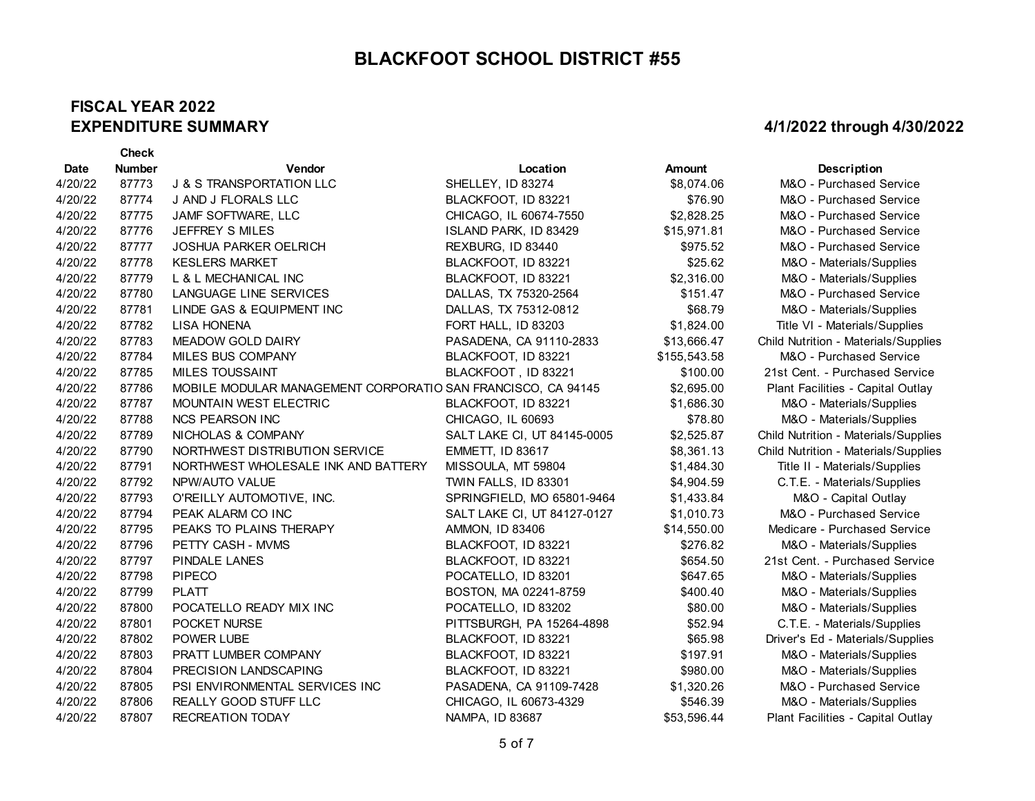#### **FISCAL YEAR 2022 EXPENDITURE SUMMARY**

**Check** 

| <b>Date</b> | <b>Number</b> | Vendor                                                       | Location                    | <b>Amount</b> | <b>Description</b>                   |
|-------------|---------------|--------------------------------------------------------------|-----------------------------|---------------|--------------------------------------|
| 4/20/22     | 87773         | <b>J &amp; S TRANSPORTATION LLC</b>                          | SHELLEY, ID 83274           | \$8,074.06    | M&O - Purchased Service              |
| 4/20/22     | 87774         | J AND J FLORALS LLC                                          | BLACKFOOT, ID 83221         | \$76.90       | M&O - Purchased Service              |
| 4/20/22     | 87775         | JAMF SOFTWARE, LLC                                           | CHICAGO, IL 60674-7550      | \$2,828.25    | M&O - Purchased Service              |
| 4/20/22     | 87776         | <b>JEFFREY S MILES</b>                                       | ISLAND PARK, ID 83429       | \$15,971.81   | M&O - Purchased Service              |
| 4/20/22     | 87777         | <b>JOSHUA PARKER OELRICH</b>                                 | REXBURG, ID 83440           | \$975.52      | M&O - Purchased Service              |
| 4/20/22     | 87778         | <b>KESLERS MARKET</b>                                        | BLACKFOOT, ID 83221         | \$25.62       | M&O - Materials/Supplies             |
| 4/20/22     | 87779         | L & L MECHANICAL INC                                         | BLACKFOOT, ID 83221         | \$2,316.00    | M&O - Materials/Supplies             |
| 4/20/22     | 87780         | LANGUAGE LINE SERVICES                                       | DALLAS, TX 75320-2564       | \$151.47      | M&O - Purchased Service              |
| 4/20/22     | 87781         | LINDE GAS & EQUIPMENT INC                                    | DALLAS, TX 75312-0812       | \$68.79       | M&O - Materials/Supplies             |
| 4/20/22     | 87782         | <b>LISA HONENA</b>                                           | FORT HALL, ID 83203         | \$1,824.00    | Title VI - Materials/Supplies        |
| 4/20/22     | 87783         | <b>MEADOW GOLD DAIRY</b>                                     | PASADENA, CA 91110-2833     | \$13,666.47   | Child Nutrition - Materials/Supplies |
| 4/20/22     | 87784         | MILES BUS COMPANY                                            | BLACKFOOT, ID 83221         | \$155,543.58  | M&O - Purchased Service              |
| 4/20/22     | 87785         | <b>MILES TOUSSAINT</b>                                       | BLACKFOOT, ID 83221         | \$100.00      | 21st Cent. - Purchased Service       |
| 4/20/22     | 87786         | MOBILE MODULAR MANAGEMENT CORPORATIO SAN FRANCISCO, CA 94145 |                             | \$2,695.00    | Plant Facilities - Capital Outlay    |
| 4/20/22     | 87787         | <b>MOUNTAIN WEST ELECTRIC</b>                                | BLACKFOOT, ID 83221         | \$1,686.30    | M&O - Materials/Supplies             |
| 4/20/22     | 87788         | <b>NCS PEARSON INC</b>                                       | CHICAGO, IL 60693           | \$78.80       | M&O - Materials/Supplies             |
| 4/20/22     | 87789         | NICHOLAS & COMPANY                                           | SALT LAKE CI, UT 84145-0005 | \$2,525.87    | Child Nutrition - Materials/Supplies |
| 4/20/22     | 87790         | NORTHWEST DISTRIBUTION SERVICE                               | <b>EMMETT, ID 83617</b>     | \$8,361.13    | Child Nutrition - Materials/Supplies |
| 4/20/22     | 87791         | NORTHWEST WHOLESALE INK AND BATTERY                          | MISSOULA, MT 59804          | \$1,484.30    | Title II - Materials/Supplies        |
| 4/20/22     | 87792         | NPW/AUTO VALUE                                               | TWIN FALLS, ID 83301        | \$4,904.59    | C.T.E. - Materials/Supplies          |
| 4/20/22     | 87793         | O'REILLY AUTOMOTIVE, INC.                                    | SPRINGFIELD, MO 65801-9464  | \$1,433.84    | M&O - Capital Outlay                 |
| 4/20/22     | 87794         | PEAK ALARM CO INC                                            | SALT LAKE CI, UT 84127-0127 | \$1,010.73    | M&O - Purchased Service              |
| 4/20/22     | 87795         | PEAKS TO PLAINS THERAPY                                      | AMMON, ID 83406             | \$14,550.00   | Medicare - Purchased Service         |
| 4/20/22     | 87796         | PETTY CASH - MVMS                                            | BLACKFOOT, ID 83221         | \$276.82      | M&O - Materials/Supplies             |
| 4/20/22     | 87797         | PINDALE LANES                                                | BLACKFOOT, ID 83221         | \$654.50      | 21st Cent. - Purchased Service       |
| 4/20/22     | 87798         | <b>PIPECO</b>                                                | POCATELLO, ID 83201         | \$647.65      | M&O - Materials/Supplies             |
| 4/20/22     | 87799         | <b>PLATT</b>                                                 | BOSTON, MA 02241-8759       | \$400.40      | M&O - Materials/Supplies             |
| 4/20/22     | 87800         | POCATELLO READY MIX INC                                      | POCATELLO, ID 83202         | \$80.00       | M&O - Materials/Supplies             |
| 4/20/22     | 87801         | POCKET NURSE                                                 | PITTSBURGH, PA 15264-4898   | \$52.94       | C.T.E. - Materials/Supplies          |
| 4/20/22     | 87802         | <b>POWER LUBE</b>                                            | BLACKFOOT, ID 83221         | \$65.98       | Driver's Ed - Materials/Supplies     |
| 4/20/22     | 87803         | PRATT LUMBER COMPANY                                         | BLACKFOOT, ID 83221         | \$197.91      | M&O - Materials/Supplies             |
| 4/20/22     | 87804         | PRECISION LANDSCAPING                                        | BLACKFOOT, ID 83221         | \$980.00      | M&O - Materials/Supplies             |
| 4/20/22     | 87805         | PSI ENVIRONMENTAL SERVICES INC                               | PASADENA, CA 91109-7428     | \$1,320.26    | M&O - Purchased Service              |
| 4/20/22     | 87806         | REALLY GOOD STUFF LLC                                        | CHICAGO, IL 60673-4329      | \$546.39      | M&O - Materials/Supplies             |
| 4/20/22     | 87807         | RECREATION TODAY                                             | NAMPA, ID 83687             | \$53,596.44   | Plant Facilities - Capital Outlay    |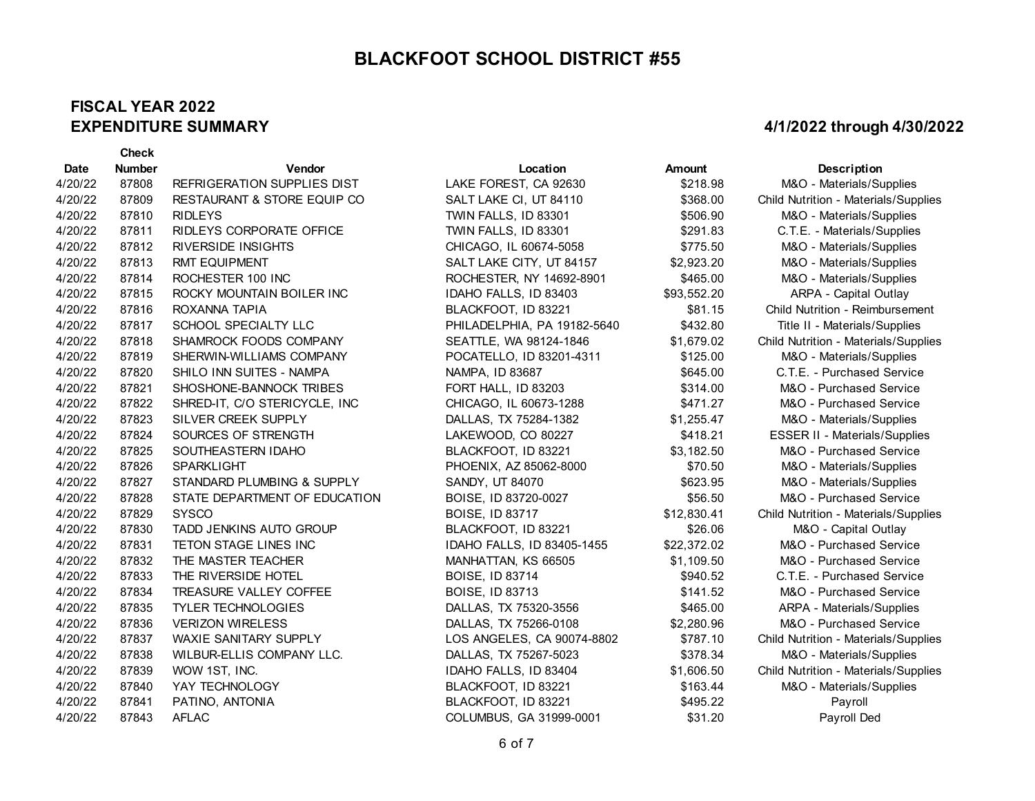#### **FISCAL YEAR 2022 EXPENDITURE SUMMARY**

|             | <b>Check</b>  |                                    |                             |               |                                      |
|-------------|---------------|------------------------------------|-----------------------------|---------------|--------------------------------------|
| <b>Date</b> | <b>Number</b> | Vendor                             | Location                    | <b>Amount</b> | <b>Description</b>                   |
| 4/20/22     | 87808         | <b>REFRIGERATION SUPPLIES DIST</b> | LAKE FOREST, CA 92630       | \$218.98      | M&O - Materials/Supplies             |
| 4/20/22     | 87809         | RESTAURANT & STORE EQUIP CO        | SALT LAKE CI, UT 84110      | \$368.00      | Child Nutrition - Materials/Supplies |
| 4/20/22     | 87810         | <b>RIDLEYS</b>                     | TWIN FALLS, ID 83301        | \$506.90      | M&O - Materials/Supplies             |
| 4/20/22     | 87811         | RIDLEYS CORPORATE OFFICE           | TWIN FALLS, ID 83301        | \$291.83      | C.T.E. - Materials/Supplies          |
| 4/20/22     | 87812         | <b>RIVERSIDE INSIGHTS</b>          | CHICAGO, IL 60674-5058      | \$775.50      | M&O - Materials/Supplies             |
| 4/20/22     | 87813         | <b>RMT EQUIPMENT</b>               | SALT LAKE CITY, UT 84157    | \$2,923.20    | M&O - Materials/Supplies             |
| 4/20/22     | 87814         | ROCHESTER 100 INC                  | ROCHESTER, NY 14692-8901    | \$465.00      | M&O - Materials/Supplies             |
| 4/20/22     | 87815         | ROCKY MOUNTAIN BOILER INC          | IDAHO FALLS, ID 83403       | \$93,552.20   | ARPA - Capital Outlay                |
| 4/20/22     | 87816         | ROXANNA TAPIA                      | BLACKFOOT, ID 83221         | \$81.15       | Child Nutrition - Reimbursement      |
| 4/20/22     | 87817         | SCHOOL SPECIALTY LLC               | PHILADELPHIA, PA 19182-5640 | \$432.80      | Title II - Materials/Supplies        |
| 4/20/22     | 87818         | SHAMROCK FOODS COMPANY             | SEATTLE, WA 98124-1846      | \$1,679.02    | Child Nutrition - Materials/Supplies |
| 4/20/22     | 87819         | SHERWIN-WILLIAMS COMPANY           | POCATELLO, ID 83201-4311    | \$125.00      | M&O - Materials/Supplies             |
| 4/20/22     | 87820         | SHILO INN SUITES - NAMPA           | NAMPA, ID 83687             | \$645.00      | C.T.E. - Purchased Service           |
| 4/20/22     | 87821         | SHOSHONE-BANNOCK TRIBES            | FORT HALL, ID 83203         | \$314.00      | M&O - Purchased Service              |
| 4/20/22     | 87822         | SHRED-IT, C/O STERICYCLE, INC      | CHICAGO, IL 60673-1288      | \$471.27      | M&O - Purchased Service              |
| 4/20/22     | 87823         | SILVER CREEK SUPPLY                | DALLAS, TX 75284-1382       | \$1,255.47    | M&O - Materials/Supplies             |
| 4/20/22     | 87824         | SOURCES OF STRENGTH                | LAKEWOOD, CO 80227          | \$418.21      | <b>ESSER II - Materials/Supplies</b> |
| 4/20/22     | 87825         | SOUTHEASTERN IDAHO                 | BLACKFOOT, ID 83221         | \$3,182.50    | M&O - Purchased Service              |
| 4/20/22     | 87826         | <b>SPARKLIGHT</b>                  | PHOENIX, AZ 85062-8000      | \$70.50       | M&O - Materials/Supplies             |
| 4/20/22     | 87827         | STANDARD PLUMBING & SUPPLY         | SANDY, UT 84070             | \$623.95      | M&O - Materials/Supplies             |
| 4/20/22     | 87828         | STATE DEPARTMENT OF EDUCATION      | BOISE, ID 83720-0027        | \$56.50       | M&O - Purchased Service              |
| 4/20/22     | 87829         | <b>SYSCO</b>                       | <b>BOISE, ID 83717</b>      | \$12,830.41   | Child Nutrition - Materials/Supplies |
| 4/20/22     | 87830         | TADD JENKINS AUTO GROUP            | BLACKFOOT, ID 83221         | \$26.06       | M&O - Capital Outlay                 |
| 4/20/22     | 87831         | TETON STAGE LINES INC              | IDAHO FALLS, ID 83405-1455  | \$22,372.02   | M&O - Purchased Service              |
| 4/20/22     | 87832         | THE MASTER TEACHER                 | MANHATTAN, KS 66505         | \$1,109.50    | M&O - Purchased Service              |
| 4/20/22     | 87833         | THE RIVERSIDE HOTEL                | <b>BOISE, ID 83714</b>      | \$940.52      | C.T.E. - Purchased Service           |
| 4/20/22     | 87834         | TREASURE VALLEY COFFEE             | <b>BOISE, ID 83713</b>      | \$141.52      | M&O - Purchased Service              |
| 4/20/22     | 87835         | <b>TYLER TECHNOLOGIES</b>          | DALLAS, TX 75320-3556       | \$465.00      | ARPA - Materials/Supplies            |
| 4/20/22     | 87836         | <b>VERIZON WIRELESS</b>            | DALLAS, TX 75266-0108       | \$2,280.96    | M&O - Purchased Service              |
| 4/20/22     | 87837         | <b>WAXIE SANITARY SUPPLY</b>       | LOS ANGELES, CA 90074-8802  | \$787.10      | Child Nutrition - Materials/Supplies |
| 4/20/22     | 87838         | WILBUR-ELLIS COMPANY LLC.          | DALLAS, TX 75267-5023       | \$378.34      | M&O - Materials/Supplies             |
| 4/20/22     | 87839         | WOW 1ST, INC.                      | IDAHO FALLS, ID 83404       | \$1,606.50    | Child Nutrition - Materials/Supplies |
| 4/20/22     | 87840         | YAY TECHNOLOGY                     | BLACKFOOT, ID 83221         | \$163.44      | M&O - Materials/Supplies             |
| 4/20/22     | 87841         | PATINO, ANTONIA                    | BLACKFOOT, ID 83221         | \$495.22      | Payroll                              |
| 4/20/22     | 87843         | <b>AFLAC</b>                       | COLUMBUS, GA 31999-0001     | \$31.20       | Payroll Ded                          |